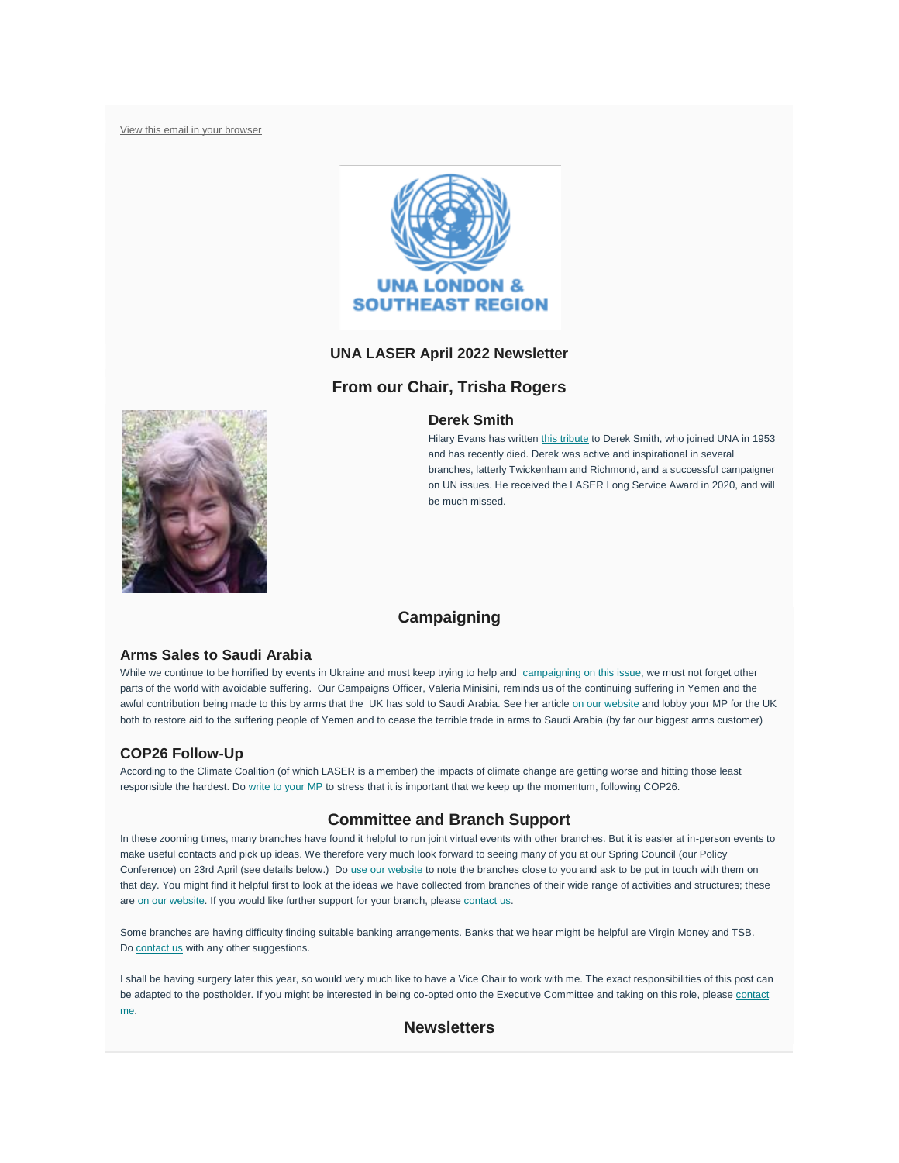[View this email in your browser](https://mailchi.mp/d4811c2e88ca/laser-newsletter-november-20153441?e=ba171b24ab)



## **UNA LASER April 2022 Newsletter**

# **From our Chair, Trisha Rogers**

## **Derek Smith**



# **Campaigning**

#### **Arms Sales to Saudi Arabia**

While we continue to be horrified by events in Ukraine and must keep trying to help and [campaigning on this issue,](https://unalaser.org/una-laser-special-campaign-alert-the-russian-invasion-of-ukraine) we must not forget other parts of the world with avoidable suffering. Our Campaigns Officer, Valeria Minisini, reminds us of the continuing suffering in Yemen and the awful contribution being made to this by arms that the UK has sold to Saudi Arabia. See her article [on our website](https://unalaser.org/the-uk-must-urgently-cease-supplying-arms-to-saudi-arabia) and lobby your MP for the UK both to restore aid to the suffering people of Yemen and to cease the terrible trade in arms to Saudi Arabia (by far our biggest arms customer)

## **COP26 Follow-Up**

According to the Climate Coalition (of which LASER is a member) the impacts of climate change are getting worse and hitting those least responsible the hardest. Do [write to your MP](https://www.theclimatecoalition.org/show-the-love/green-heart-mp-action?utm_term=0_5d9d4008a3-f6bbf2f448-44278650) to stress that it is important that we keep up the momentum, following COP26.

# **Committee and Branch Support**

In these zooming times, many branches have found it helpful to run joint virtual events with other branches. But it is easier at in-person events to make useful contacts and pick up ideas. We therefore very much look forward to seeing many of you at our Spring Council (our Policy Conference) on 23rd April (see details below.) Do [use our website](https://unalaser.org/branches) to note the branches close to you and ask to be put in touch with them on that day. You might find it helpful first to look at the ideas we have collected from branches of their wide range of activities and structures; these are [on our website.](https://unalaser.org/wp-content/uploads/2021/02/Branch-Ideas.pdf) If you would like further support for your branch, please [contact us.](mailto:contact@unalaser.org)

Some branches are having difficulty finding suitable banking arrangements. Banks that we hear might be helpful are Virgin Money and TSB. Do [contact us](mailto:contact@unalaser.org) with any other suggestions.

I shall be having surgery later this year, so would very much like to have a Vice Chair to work with me. The exact responsibilities of this post can be adapted to the postholder. If you might be interested in being co-opted onto the Executive Committee and taking on this role, please contact [me.](mailto:contact@unalaser.org)

# **Newsletters**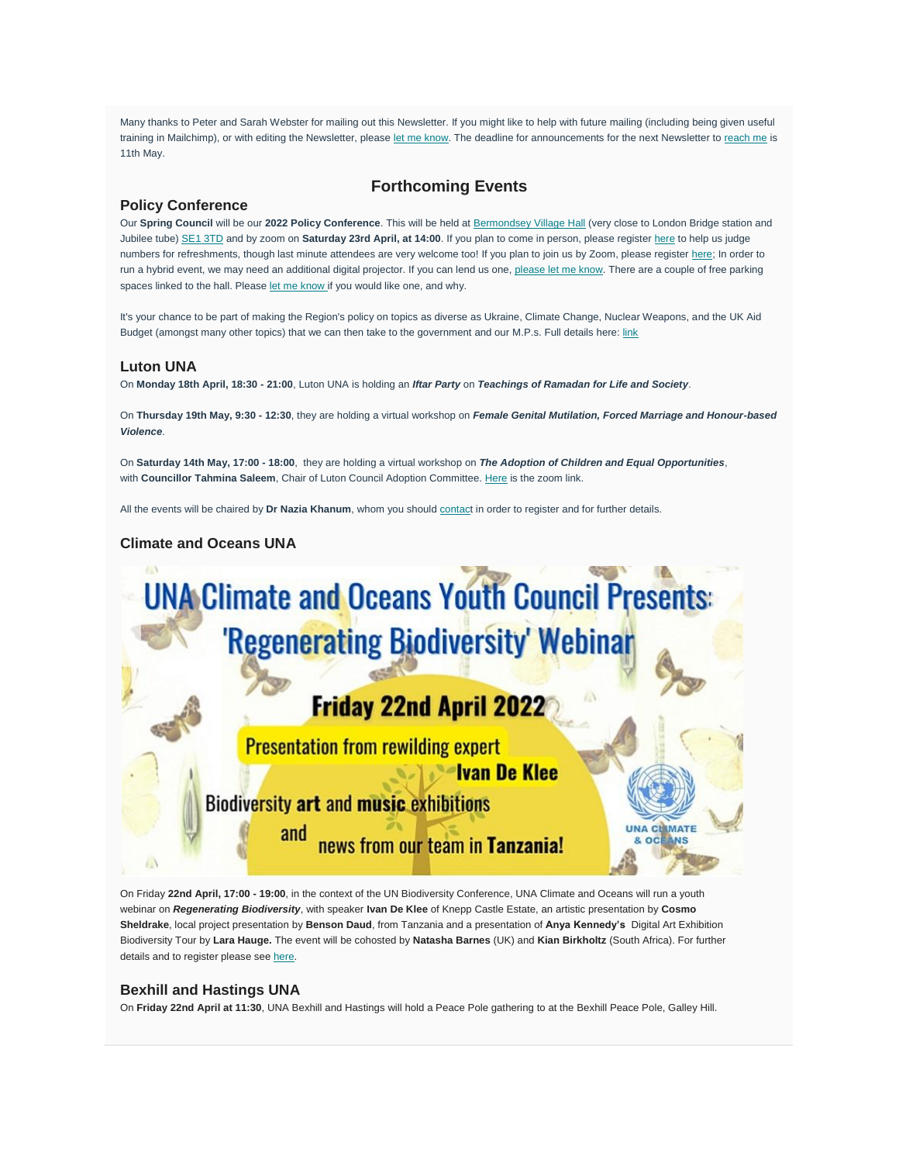Many thanks to Peter and Sarah Webster for mailing out this Newsletter. If you might like to help with future mailing (including being given useful training in Mailchimp), or with editing the Newsletter, please [let me know.](mailto:contact@unalaser.org) The deadline for announcements for the next Newsletter to [reach me](mailto:contact@unalaser.org) is 11th May.

# **Forthcoming Events**

# **Policy Conference**

Our **Spring Council** will be our **2022 Policy Conference**. This will be held at [Bermondsey Village Hall](https://www.london-se1.co.uk/places/bermondsey-village-hall) (very close to London Bridge station and Jubilee tube) [SE1 3TD](https://www.london-se1.co.uk/places/bermondsey-village-hall/map) and by zoom on **Saturday 23rd April, at 14:00**. If you plan to come in person, please register [here](https://www.eventbrite.co.uk/e/una-london-and-south-east-region-2022-policy-conference-tickets-319002383717) to help us judge numbers for refreshments, though last minute attendees are very welcome too! If you plan to join us by Zoom, please register [here;](https://us02web.zoom.us/meeting/register/tZAtdeqqrzgiGd26v1jGXzECGNdGfrrXic0i) In order to run a hybrid event, we may need an additional digital projector. If you can lend us one, [please let me know.](mailto:trisha_rogers@yahoo.com) There are a couple of free parking spaces linked to the hall. Please [let me know](mailto:trisha_rogers@yahoo.com) if you would like one, and why.

It's your chance to be part of making the Region's policy on topics as diverse as Ukraine, Climate Change, Nuclear Weapons, and the UK Aid Budget (amongst many other topics) that we can then take to the government and our M.P.s. Full details here: [link](https://unalaser.org/wp-content/uploads/2022/04/UNA-LASER-Policy-resolutions-for-consideration-on-23rd-April-2022-1.pdf)

#### **Luton UNA**

On **Monday 18th April, 18:30 - 21:00**, Luton UNA is holding an *Iftar Party* on *Teachings of Ramadan for Life and Society*.

On **Thursday 19th May, 9:30 - 12:30**, they are holding a virtual workshop on *Female Genital Mutilation, Forced Marriage and Honour-based Violence*.

On **Saturday 14th May, 17:00 - 18:00**, they are holding a virtual workshop on *The Adoption of Children and Equal Opportunities*, with Councillor Tahmina Saleem, Chair of Luton Council Adoption Committee. [Here](https://us02web.zoom.us/j/89990072299?pwd=SFFnditURExjcXMrQ1FMR250b2UzZz09) is the zoom link.

All the events will be chaired by **Dr Nazia Khanum**, whom you should [contact](mailto:nkhanum@aol.com) in order to register and for further details.

# **Climate and Oceans UNA**



**Biodiversity art and music exhibitions** 

and news from our team in Tanzania! MATE

**INS** 

On Friday **22nd April, 17:00 - 19:00**, in the context of the UN Biodiversity Conference, UNA Climate and Oceans will run a youth webinar on *Regenerating Biodiversity*, with speaker **Ivan De Klee** of Knepp Castle Estate, an artistic presentation by **Cosmo Sheldrake**, local project presentation by **Benson Daud**, from Tanzania and a presentation of **Anya Kennedy's** Digital Art Exhibition Biodiversity Tour by **Lara Hauge.** The event will be cohosted by **Natasha Barnes** (UK) and **Kian Birkholtz** (South Africa). For further details and to register please see [here.](https://www.eventbrite.co.uk/e/youth-event-united-nations-biodiversity-conference-2022-tickets-315570037477?aff=ebdsoporgprofile)

#### **Bexhill and Hastings UNA**

A

On **Friday 22nd April at 11:30**, UNA Bexhill and Hastings will hold a Peace Pole gathering to at the Bexhill Peace Pole, Galley Hill.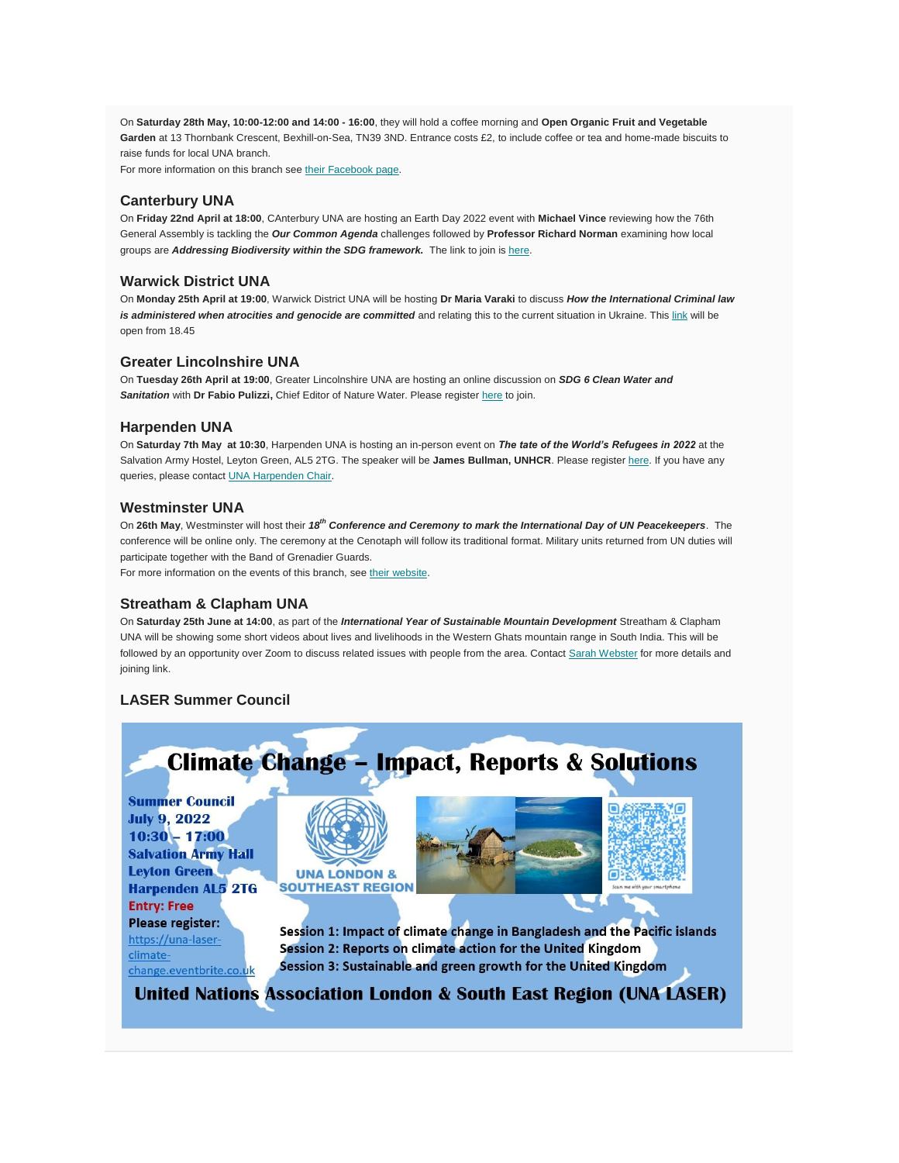On **Saturday 28th May, 10:00-12:00 and 14:00 - 16:00**, they will hold a coffee morning and **Open Organic Fruit and Vegetable Garden** at 13 Thornbank Crescent, Bexhill-on-Sea, TN39 3ND. Entrance costs £2, to include coffee or tea and home-made biscuits to raise funds for local UNA branch.

For more information on this branch see [their Facebook page.](https://www.facebook.com/UNAUKBexhillandHastings/?r%20ef=ts&fref=ts)

# **Canterbury UNA**

On **Friday 22nd April at 18:00**, CAnterbury UNA are hosting an Earth Day 2022 event with **Michael Vince** reviewing how the 76th General Assembly is tackling the *Our Common Agenda* challenges followed by **Professor Richard Norman** examining how local groups are *Addressing Biodiversity within the SDG framework*. The link to join is [here.](https://us02web.zoom.us/j/246881363?pwd=U004YkY4SVlzUjJpMXJYOHNEdi9mUT09)

### **Warwick District UNA**

On **Monday 25th April at 19:00**, Warwick District UNA will be hosting **Dr Maria Varaki** to discuss *How the International Criminal law*  is administered when atrocities and genocide are committed and relating this to the current situation in Ukraine. This [link](https://us02web.zoom.us/j/86088925203?pwd=bldUTlNXa2QwYXJkQkJSVWJ0aU0yQT09) will be open from 18.45

### **Greater Lincolnshire UNA**

On **Tuesday 26th April at 19:00**, Greater Lincolnshire UNA are hosting an online discussion on *SDG 6 Clean Water and Sanitation* with **Dr Fabio Pulizzi,** Chief Editor of Nature Water. Please register [here](https://www.eventbrite.co.uk/e/una-gl-online-seminar-sdg-goal-6-clean-water-sanitation-tickets-320498308067?utm_campaign=post_publish&utm_medium=email&utm_source=eventbrite&utm_content=shortLinkNewEmail) to join.

### **Harpenden UNA**

On **Saturday 7th May at 10:30**, Harpenden UNA is hosting an in-person event on *The tate of the World's Refugees in 2022* at the Salvation Army Hostel, Leyton Green, AL5 2TG. The speaker will be **James Bullman, UNHCR**. Please register [here.](https://worlds-refugees-unhcr.eventbrite.co.uk/experience-as-an-msf-paediatrician-tickets-289393924017?aff=ebdssbdestsearch&keep_tld=1) If you have any queries, please contact **UNA Harpenden Chair**.

### **Westminster UNA**

On **26th May**, Westminster will host their *18th Conference and Ceremony to mark the International Day of UN Peacekeepers*. The conference will be online only. The ceremony at the Cenotaph will follow its traditional format. Military units returned from UN duties will participate together with the Band of Grenadier Guards.

For more information on the events of this branch, see [their website.](http://www.unawestminster.org.uk/future_events.html)

#### **Streatham & Clapham UNA**

On **Saturday 25th June at 14:00**, as part of the *International Year of Sustainable Mountain Development* Streatham & Clapham UNA will be showing some short videos about lives and livelihoods in the Western Ghats mountain range in South India. This will be followed by an opportunity over Zoom to discuss related issues with people from the area. Contact [Sarah Webster](mailto:webster.home@btinternet.com?subject=International%20Year%20of%20Sustainable%20Mountain%20Development%20&body=Hi%20Sarah%2C%0A%0AYes%2C%20please%20let%20me%20know%20more%20about%20your%20forthcoming%20meeting%20on%20sustainable%20mountains%20and%20the%20people%20living%20in%20the%20Western%20Ghats.%0A%0A) for more details and joining link.

# **LASER Summer Council**